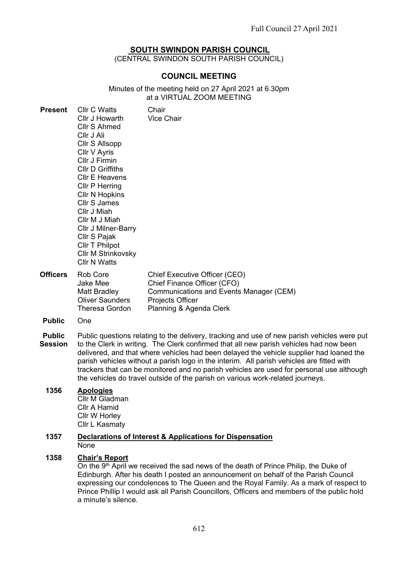# **SOUTH SWINDON PARISH COUNCIL**

(CENTRAL SWINDON SOUTH PARISH COUNCIL)

# **COUNCIL MEETING**

#### Minutes of the meeting held on 27 April 2021 at 6.30pm at a VIRTUAL ZOOM MEETING

| <b>Present</b>                  | <b>Cllr C Watts</b><br>Cllr J Howarth<br><b>Cllr S Ahmed</b><br>Cllr J Ali<br><b>CIIr S Allsopp</b><br>Cllr V Ayris<br>Cllr J Firmin<br><b>CIIr D Griffiths</b><br><b>CIIr E Heavens</b><br><b>Cllr P Herring</b><br><b>CIIr N Hopkins</b><br><b>Cllr S James</b><br>Cllr J Miah<br>Cllr M J Miah<br>Cllr J Milner-Barry<br>Cllr S Pajak<br><b>CIIr T Philpot</b><br>Cllr M Strinkovsky<br><b>Cllr N Watts</b>                                                                                                                                              | Chair<br><b>Vice Chair</b>                                                                                                                             |  |  |  |
|---------------------------------|-------------------------------------------------------------------------------------------------------------------------------------------------------------------------------------------------------------------------------------------------------------------------------------------------------------------------------------------------------------------------------------------------------------------------------------------------------------------------------------------------------------------------------------------------------------|--------------------------------------------------------------------------------------------------------------------------------------------------------|--|--|--|
| <b>Officers</b>                 | Rob Core<br>Jake Mee<br>Matt Bradley<br><b>Oliver Saunders</b><br><b>Theresa Gordon</b>                                                                                                                                                                                                                                                                                                                                                                                                                                                                     | Chief Executive Officer (CEO)<br>Chief Finance Officer (CFO)<br>Communications and Events Manager (CEM)<br>Projects Officer<br>Planning & Agenda Clerk |  |  |  |
| <b>Public</b>                   | One                                                                                                                                                                                                                                                                                                                                                                                                                                                                                                                                                         |                                                                                                                                                        |  |  |  |
| <b>Public</b><br><b>Session</b> | Public questions relating to the delivery, tracking and use of new parish vehicles were put<br>to the Clerk in writing. The Clerk confirmed that all new parish vehicles had now been<br>delivered, and that where vehicles had been delayed the vehicle supplier had loaned the<br>parish vehicles without a parish logo in the interim. All parish vehicles are fitted with<br>trackers that can be monitored and no parish vehicles are used for personal use although<br>the vehicles do travel outside of the parish on various work-related journeys. |                                                                                                                                                        |  |  |  |

#### **1356 Apologies** Cllr M Gladman

Cllr A Hamid Cllr W Horley Cllr L Kasmaty

#### **1357 Declarations of Interest & Applications for Dispensation** None

# **1358 Chair's Report**

On the 9<sup>th</sup> April we received the sad news of the death of Prince Philip, the Duke of Edinburgh. After his death I posted an announcement on behalf of the Parish Council expressing our condolences to The Queen and the Royal Family. As a mark of respect to Prince Phillip I would ask all Parish Councillors, Officers and members of the public hold a minute's silence.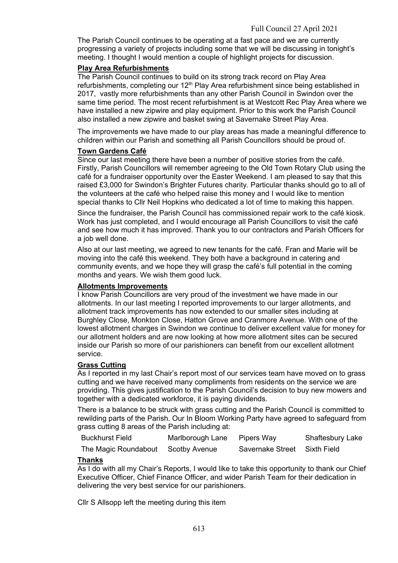The Parish Council continues to be operating at a fast pace and we are currently progressing a variety of projects including some that we will be discussing in tonight's meeting. I thought I would mention a couple of highlight projects for discussion.

#### **Play Area Refurbishments**

The Parish Council continues to build on its strong track record on Play Area refurbishments, completing our 12<sup>th</sup> Play Area refurbishment since being established in 2017, vastly more refurbishments than any other Parish Council in Swindon over the same time period. The most recent refurbishment is at Westcott Rec Play Area where we have installed a new zipwire and play equipment. Prior to this work the Parish Council also installed a new zipwire and basket swing at Savernake Street Play Area.

The improvements we have made to our play areas has made a meaningful difference to children within our Parish and something all Parish Councillors should be proud of.

#### **Town Gardens Café**

Since our last meeting there have been a number of positive stories from the café. Firstly, Parish Councillors will remember agreeing to the Old Town Rotary Club using the café for a fundraiser opportunity over the Easter Weekend. I am pleased to say that this raised £3,000 for Swindon's Brighter Futures charity. Particular thanks should go to all of the volunteers at the café who helped raise this money and I would like to mention special thanks to Cllr Neil Hopkins who dedicated a lot of time to making this happen.

Since the fundraiser, the Parish Council has commissioned repair work to the café kiosk. Work has just completed, and I would encourage all Parish Councillors to visit the café and see how much it has improved. Thank you to our contractors and Parish Officers for a job well done.

Also at our last meeting, we agreed to new tenants for the café. Fran and Marie will be moving into the café this weekend. They both have a background in catering and community events, and we hope they will grasp the café's full potential in the coming months and years. We wish them good luck.

### **Allotments Improvements**

I know Parish Councillors are very proud of the investment we have made in our allotments. In our last meeting I reported improvements to our larger allotments, and allotment track improvements has now extended to our smaller sites including at Burghley Close, Monkton Close, Hatton Grove and Cranmore Avenue. With one of the lowest allotment charges in Swindon we continue to deliver excellent value for money for our allotment holders and are now looking at how more allotment sites can be secured inside our Parish so more of our parishioners can benefit from our excellent allotment service.

### **Grass Cutting**

As I reported in my last Chair's report most of our services team have moved on to grass cutting and we have received many compliments from residents on the service we are providing. This gives justification to the Parish Council's decision to buy new mowers and together with a dedicated workforce, it is paying dividends.

There is a balance to be struck with grass cutting and the Parish Council is committed to rewilding parts of the Parish. Our In Bloom Working Party have agreed to safeguard from grass cutting 8 areas of the Parish including at:

| <b>Buckhurst Field</b>             | Marlborough Lane | Pipers Way                   | Shaftesbury Lake |
|------------------------------------|------------------|------------------------------|------------------|
| The Magic Roundabout Scotby Avenue |                  | Savernake Street Sixth Field |                  |

### **Thanks**

As I do with all my Chair's Reports, I would like to take this opportunity to thank our Chief Executive Officer, Chief Finance Officer, and wider Parish Team for their dedication in delivering the very best service for our parishioners.

Cllr S Allsopp left the meeting during this item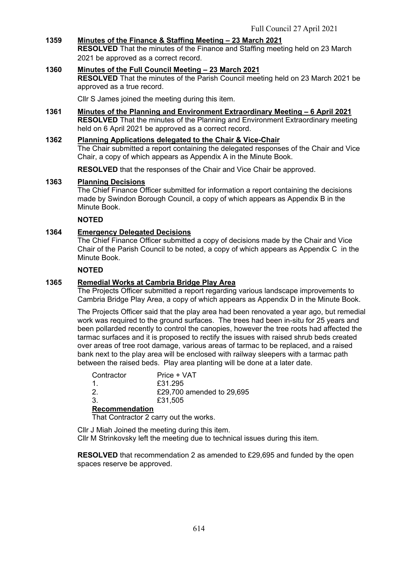# **1359 Minutes of the Finance & Staffing Meeting – 23 March 2021**

**RESOLVED** That the minutes of the Finance and Staffing meeting held on 23 March 2021 be approved as a correct record.

#### **1360 Minutes of the Full Council Meeting – 23 March 2021 RESOLVED** That the minutes of the Parish Council meeting held on 23 March 2021 be approved as a true record.

Cllr S James joined the meeting during this item.

**1361 Minutes of the Planning and Environment Extraordinary Meeting – 6 April 2021 RESOLVED** That the minutes of the Planning and Environment Extraordinary meeting held on 6 April 2021 be approved as a correct record.

#### **1362 Planning Applications delegated to the Chair & Vice-Chair**

The Chair submitted a report containing the delegated responses of the Chair and Vice Chair, a copy of which appears as Appendix A in the Minute Book.

**RESOLVED** that the responses of the Chair and Vice Chair be approved.

#### **1363 Planning Decisions**

The Chief Finance Officer submitted for information a report containing the decisions made by Swindon Borough Council, a copy of which appears as Appendix B in the Minute Book.

# **NOTED**

### **1364 Emergency Delegated Decisions**

The Chief Finance Officer submitted a copy of decisions made by the Chair and Vice Chair of the Parish Council to be noted, a copy of which appears as Appendix C in the Minute Book.

#### **NOTED**

# **1365 Remedial Works at Cambria Bridge Play Area**

The Projects Officer submitted a report regarding various landscape improvements to Cambria Bridge Play Area, a copy of which appears as Appendix D in the Minute Book.

The Projects Officer said that the play area had been renovated a year ago, but remedial work was required to the ground surfaces. The trees had been in-situ for 25 years and been pollarded recently to control the canopies, however the tree roots had affected the tarmac surfaces and it is proposed to rectify the issues with raised shrub beds created over areas of tree root damage, various areas of tarmac to be replaced, and a raised bank next to the play area will be enclosed with railway sleepers with a tarmac path between the raised beds. Play area planting will be done at a later date.

| Contractor            | Price + VAT               |
|-----------------------|---------------------------|
| 1.                    | £31.295                   |
| $2^{1}$               | £29,700 amended to 29,695 |
| 3.                    | £31,505                   |
| <b>Recommendation</b> |                           |

# **Recommendation**

That Contractor 2 carry out the works.

Cllr J Miah Joined the meeting during this item. Cllr M Strinkovsky left the meeting due to technical issues during this item.

**RESOLVED** that recommendation 2 as amended to £29,695 and funded by the open spaces reserve be approved.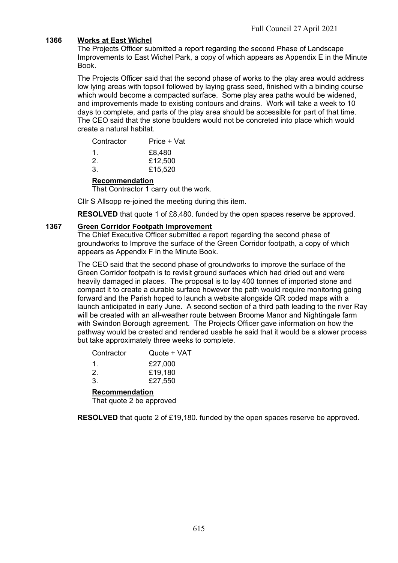# **1366 Works at East Wichel**

The Projects Officer submitted a report regarding the second Phase of Landscape Improvements to East Wichel Park, a copy of which appears as Appendix E in the Minute Book.

The Projects Officer said that the second phase of works to the play area would address low lying areas with topsoil followed by laying grass seed, finished with a binding course which would become a compacted surface. Some play area paths would be widened, and improvements made to existing contours and drains. Work will take a week to 10 days to complete, and parts of the play area should be accessible for part of that time. The CEO said that the stone boulders would not be concreted into place which would create a natural habitat.

| £8,480  |
|---------|
| £12,500 |
| £15,520 |
|         |

### **Recommendation**

That Contractor 1 carry out the work.

Cllr S Allsopp re-joined the meeting during this item.

**RESOLVED** that quote 1 of £8,480. funded by the open spaces reserve be approved.

#### **1367 Green Corridor Footpath Improvement**

The Chief Executive Officer submitted a report regarding the second phase of groundworks to Improve the surface of the Green Corridor footpath, a copy of which appears as Appendix F in the Minute Book.

The CEO said that the second phase of groundworks to improve the surface of the Green Corridor footpath is to revisit ground surfaces which had dried out and were heavily damaged in places. The proposal is to lay 400 tonnes of imported stone and compact it to create a durable surface however the path would require monitoring going forward and the Parish hoped to launch a website alongside QR coded maps with a launch anticipated in early June. A second section of a third path leading to the river Ray will be created with an all-weather route between Broome Manor and Nightingale farm with Swindon Borough agreement. The Projects Officer gave information on how the pathway would be created and rendered usable he said that it would be a slower process but take approximately three weeks to complete.

| <b>Recommendation</b> |             |  |  |  |  |
|-----------------------|-------------|--|--|--|--|
| 3.                    | £27,550     |  |  |  |  |
| $\mathcal{P}$         | £19,180     |  |  |  |  |
| 1.                    | £27,000     |  |  |  |  |
| Contractor            | Quote + VAT |  |  |  |  |

That quote 2 be approved

**RESOLVED** that quote 2 of £19,180. funded by the open spaces reserve be approved.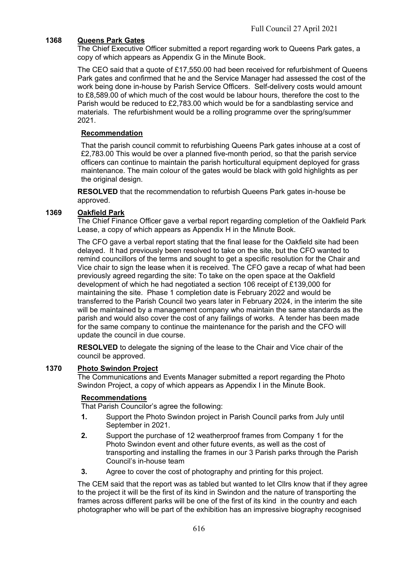# **1368 Queens Park Gates**

The Chief Executive Officer submitted a report regarding work to Queens Park gates, a copy of which appears as Appendix G in the Minute Book.

The CEO said that a quote of £17,550.00 had been received for refurbishment of Queens Park gates and confirmed that he and the Service Manager had assessed the cost of the work being done in-house by Parish Service Officers. Self-delivery costs would amount to £8,589.00 of which much of the cost would be labour hours, therefore the cost to the Parish would be reduced to £2,783.00 which would be for a sandblasting service and materials. The refurbishment would be a rolling programme over the spring/summer 2021.

### **Recommendation**

That the parish council commit to refurbishing Queens Park gates inhouse at a cost of £2,783.00 This would be over a planned five-month period, so that the parish service officers can continue to maintain the parish horticultural equipment deployed for grass maintenance. The main colour of the gates would be black with gold highlights as per the original design.

**RESOLVED** that the recommendation to refurbish Queens Park gates in-house be approved.

### **1369 Oakfield Park**

The Chief Finance Officer gave a verbal report regarding completion of the Oakfield Park Lease, a copy of which appears as Appendix H in the Minute Book.

The CFO gave a verbal report stating that the final lease for the Oakfield site had been delayed. It had previously been resolved to take on the site, but the CFO wanted to remind councillors of the terms and sought to get a specific resolution for the Chair and Vice chair to sign the lease when it is received. The CFO gave a recap of what had been previously agreed regarding the site: To take on the open space at the Oakfield development of which he had negotiated a section 106 receipt of £139,000 for maintaining the site. Phase 1 completion date is February 2022 and would be transferred to the Parish Council two years later in February 2024, in the interim the site will be maintained by a management company who maintain the same standards as the parish and would also cover the cost of any failings of works. A tender has been made for the same company to continue the maintenance for the parish and the CFO will update the council in due course.

**RESOLVED** to delegate the signing of the lease to the Chair and Vice chair of the council be approved.

### **1370 Photo Swindon Project**

The Communications and Events Manager submitted a report regarding the Photo Swindon Project, a copy of which appears as Appendix I in the Minute Book.

### **Recommendations**

That Parish Councilor's agree the following:

- **1.** Support the Photo Swindon project in Parish Council parks from July until September in 2021.
- **2.** Support the purchase of 12 weatherproof frames from Company 1 for the Photo Swindon event and other future events, as well as the cost of transporting and installing the frames in our 3 Parish parks through the Parish Council's in-house team
- **3.** Agree to cover the cost of photography and printing for this project.

The CEM said that the report was as tabled but wanted to let Cllrs know that if they agree to the project it will be the first of its kind in Swindon and the nature of transporting the frames across different parks will be one of the first of its kind in the country and each photographer who will be part of the exhibition has an impressive biography recognised